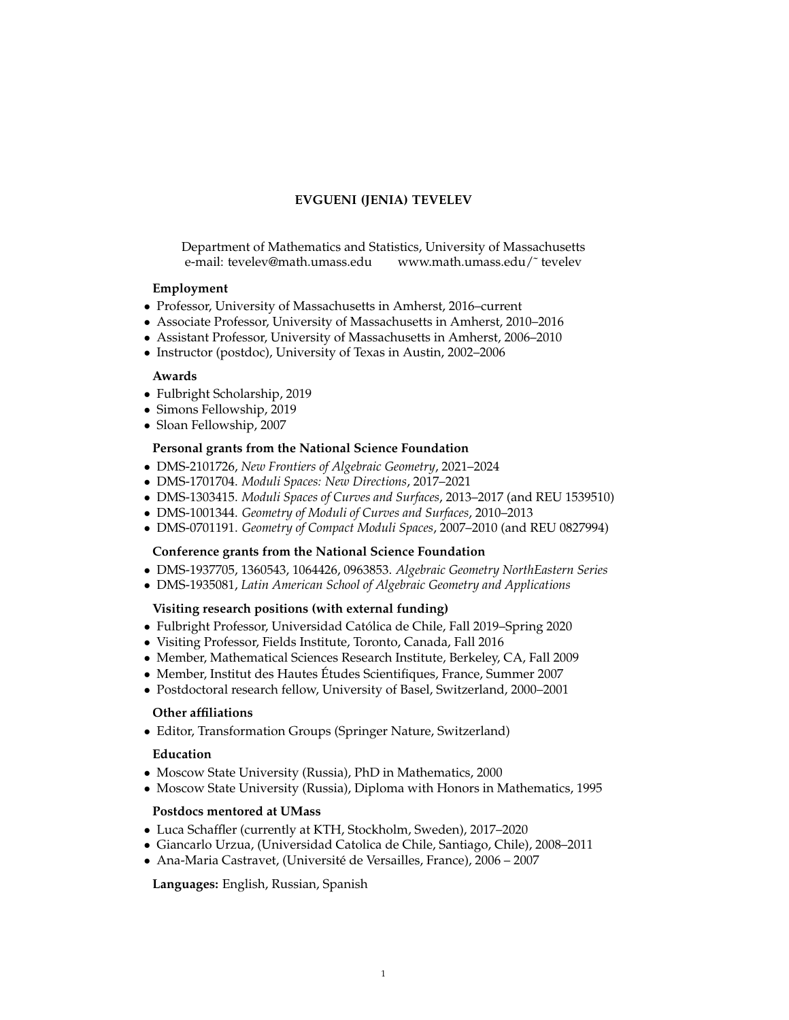# **EVGUENI (JENIA) TEVELEV**

Department of Mathematics and Statistics, University of Massachusetts e-mail: tevelev@math.umass.edu www.math.umass.edu/˜ tevelev

### **Employment**

- Professor, University of Massachusetts in Amherst, 2016–current
- Associate Professor, University of Massachusetts in Amherst, 2010–2016
- Assistant Professor, University of Massachusetts in Amherst, 2006–2010
- Instructor (postdoc), University of Texas in Austin, 2002–2006

## **Awards**

- Fulbright Scholarship, 2019
- Simons Fellowship, 2019
- Sloan Fellowship, 2007

## **Personal grants from the National Science Foundation**

- DMS-2101726, *New Frontiers of Algebraic Geometry*, 2021–2024
- DMS-1701704. *Moduli Spaces: New Directions*, 2017–2021
- DMS-1303415. *Moduli Spaces of Curves and Surfaces*, 2013–2017 (and REU 1539510)
- DMS-1001344. *Geometry of Moduli of Curves and Surfaces*, 2010–2013
- DMS-0701191. *Geometry of Compact Moduli Spaces*, 2007–2010 (and REU 0827994)

### **Conference grants from the National Science Foundation**

- DMS-1937705, 1360543, 1064426, 0963853. *Algebraic Geometry NorthEastern Series*
- DMS-1935081, *Latin American School of Algebraic Geometry and Applications*

### **Visiting research positions (with external funding)**

- Fulbright Professor, Universidad Catolica de Chile, Fall 2019–Spring 2020 ´
- Visiting Professor, Fields Institute, Toronto, Canada, Fall 2016
- Member, Mathematical Sciences Research Institute, Berkeley, CA, Fall 2009
- Member, Institut des Hautes Études Scientifiques, France, Summer 2007
- Postdoctoral research fellow, University of Basel, Switzerland, 2000–2001

### **Other affiliations**

• Editor, Transformation Groups (Springer Nature, Switzerland)

### **Education**

- Moscow State University (Russia), PhD in Mathematics, 2000
- Moscow State University (Russia), Diploma with Honors in Mathematics, 1995

# **Postdocs mentored at UMass**

- Luca Schaffler (currently at KTH, Stockholm, Sweden), 2017–2020
- Giancarlo Urzua, (Universidad Catolica de Chile, Santiago, Chile), 2008–2011
- Ana-Maria Castravet, (Université de Versailles, France), 2006 2007

**Languages:** English, Russian, Spanish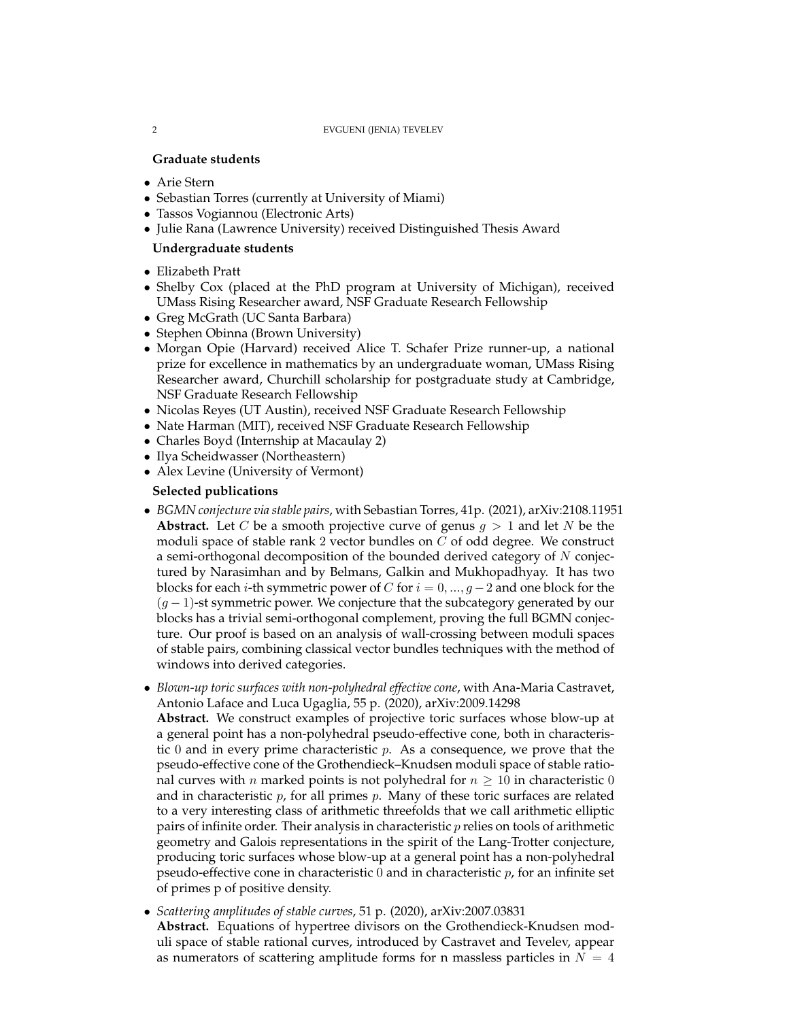#### 2 EVGUENI (JENIA) TEVELEV

# **Graduate students**

- Arie Stern
- Sebastian Torres (currently at University of Miami)
- Tassos Vogiannou (Electronic Arts)
- Julie Rana (Lawrence University) received Distinguished Thesis Award

# **Undergraduate students**

- Elizabeth Pratt
- Shelby Cox (placed at the PhD program at University of Michigan), received UMass Rising Researcher award, NSF Graduate Research Fellowship
- Greg McGrath (UC Santa Barbara)
- Stephen Obinna (Brown University)
- Morgan Opie (Harvard) received Alice T. Schafer Prize runner-up, a national prize for excellence in mathematics by an undergraduate woman, UMass Rising Researcher award, Churchill scholarship for postgraduate study at Cambridge, NSF Graduate Research Fellowship
- Nicolas Reyes (UT Austin), received NSF Graduate Research Fellowship
- Nate Harman (MIT), received NSF Graduate Research Fellowship
- Charles Boyd (Internship at Macaulay 2)
- Ilya Scheidwasser (Northeastern)
- Alex Levine (University of Vermont)

### **Selected publications**

- *BGMN conjecture via stable pairs*, with Sebastian Torres, 41p. (2021), arXiv:2108.11951 **Abstract.** Let C be a smooth projective curve of genus  $q > 1$  and let N be the moduli space of stable rank 2 vector bundles on C of odd degree. We construct a semi-orthogonal decomposition of the bounded derived category of N conjectured by Narasimhan and by Belmans, Galkin and Mukhopadhyay. It has two blocks for each *i*-th symmetric power of *C* for  $i = 0, ..., g - 2$  and one block for the  $(g - 1)$ -st symmetric power. We conjecture that the subcategory generated by our blocks has a trivial semi-orthogonal complement, proving the full BGMN conjecture. Our proof is based on an analysis of wall-crossing between moduli spaces of stable pairs, combining classical vector bundles techniques with the method of windows into derived categories.
- *Blown-up toric surfaces with non-polyhedral effective cone*, with Ana-Maria Castravet, Antonio Laface and Luca Ugaglia, 55 p. (2020), arXiv:2009.14298

**Abstract.** We construct examples of projective toric surfaces whose blow-up at a general point has a non-polyhedral pseudo-effective cone, both in characteristic 0 and in every prime characteristic  $p$ . As a consequence, we prove that the pseudo-effective cone of the Grothendieck–Knudsen moduli space of stable rational curves with *n* marked points is not polyhedral for  $n \geq 10$  in characteristic 0 and in characteristic  $p$ , for all primes  $p$ . Many of these toric surfaces are related to a very interesting class of arithmetic threefolds that we call arithmetic elliptic pairs of infinite order. Their analysis in characteristic  $p$  relies on tools of arithmetic geometry and Galois representations in the spirit of the Lang-Trotter conjecture, producing toric surfaces whose blow-up at a general point has a non-polyhedral pseudo-effective cone in characteristic  $0$  and in characteristic  $p$ , for an infinite set of primes p of positive density.

• *Scattering amplitudes of stable curves*, 51 p. (2020), arXiv:2007.03831

**Abstract.** Equations of hypertree divisors on the Grothendieck-Knudsen moduli space of stable rational curves, introduced by Castravet and Tevelev, appear as numerators of scattering amplitude forms for n massless particles in  $N = 4$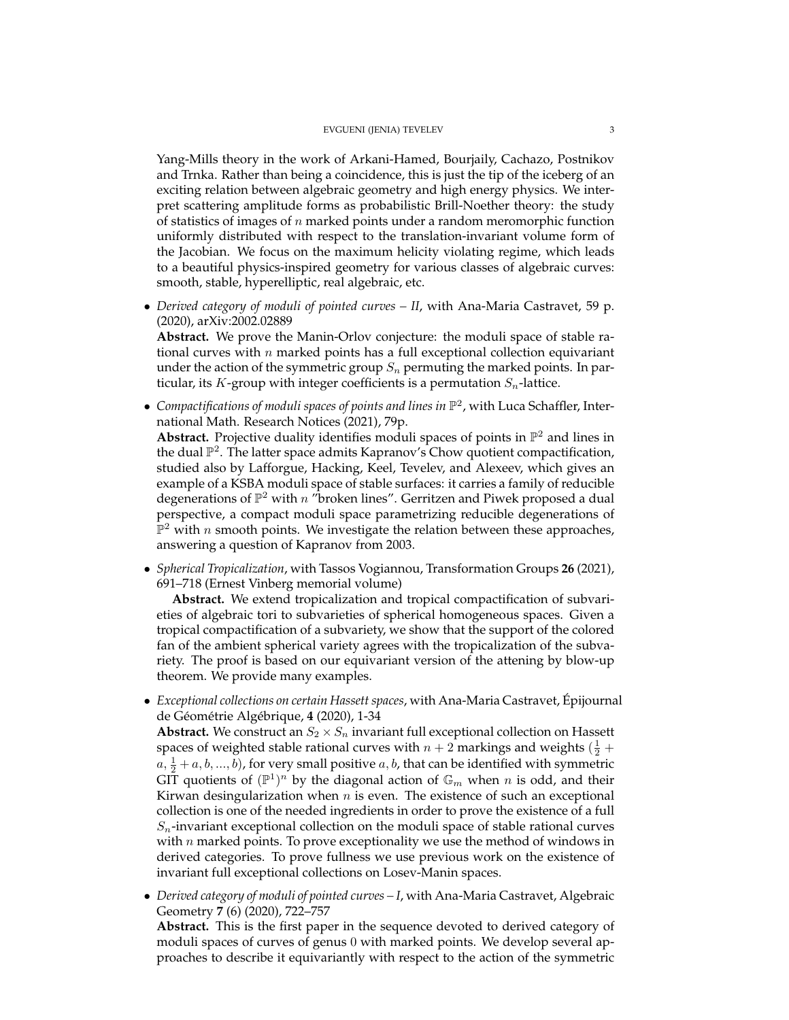Yang-Mills theory in the work of Arkani-Hamed, Bourjaily, Cachazo, Postnikov and Trnka. Rather than being a coincidence, this is just the tip of the iceberg of an exciting relation between algebraic geometry and high energy physics. We interpret scattering amplitude forms as probabilistic Brill-Noether theory: the study of statistics of images of n marked points under a random meromorphic function uniformly distributed with respect to the translation-invariant volume form of the Jacobian. We focus on the maximum helicity violating regime, which leads to a beautiful physics-inspired geometry for various classes of algebraic curves: smooth, stable, hyperelliptic, real algebraic, etc.

• *Derived category of moduli of pointed curves – II*, with Ana-Maria Castravet, 59 p. (2020), arXiv:2002.02889

**Abstract.** We prove the Manin-Orlov conjecture: the moduli space of stable rational curves with  $n$  marked points has a full exceptional collection equivariant under the action of the symmetric group  $S_n$  permuting the marked points. In particular, its K-group with integer coefficients is a permutation  $S_n$ -lattice.

• Compactifications of moduli spaces of points and lines in  $\mathbb{P}^2$ , with Luca Schaffler, International Math. Research Notices (2021), 79p. Abstract. Projective duality identifies moduli spaces of points in  $\mathbb{P}^2$  and lines in the dual  $\mathbb{P}^2$ . The latter space admits Kapranov's Chow quotient compactification, studied also by Lafforgue, Hacking, Keel, Tevelev, and Alexeev, which gives an example of a KSBA moduli space of stable surfaces: it carries a family of reducible degenerations of  $\mathbb{P}^2$  with n "broken lines". Gerritzen and Piwek proposed a dual

perspective, a compact moduli space parametrizing reducible degenerations of  $\mathbb{P}^2$  with n smooth points. We investigate the relation between these approaches, answering a question of Kapranov from 2003.

• *Spherical Tropicalization*, with Tassos Vogiannou, Transformation Groups **26** (2021), 691–718 (Ernest Vinberg memorial volume)

**Abstract.** We extend tropicalization and tropical compactification of subvarieties of algebraic tori to subvarieties of spherical homogeneous spaces. Given a tropical compactification of a subvariety, we show that the support of the colored fan of the ambient spherical variety agrees with the tropicalization of the subvariety. The proof is based on our equivariant version of the attening by blow-up theorem. We provide many examples.

• *Exceptional collections on certain Hassett spaces*, with Ana-Maria Castravet, Epijournal ´ de Géométrie Algébrique, 4 (2020), 1-34

**Abstract.** We construct an  $S_2 \times S_n$  invariant full exceptional collection on Hassett spaces of weighted stable rational curves with  $n+2$  markings and weights  $(\frac{1}{2} +$  $a, \frac{1}{2} + a, b, ..., b$ ), for very small positive  $a, b$ , that can be identified with symmetric GIT quotients of  $(\mathbb{P}^1)^n$  by the diagonal action of  $\mathbb{G}_m$  when n is odd, and their Kirwan desingularization when  $n$  is even. The existence of such an exceptional collection is one of the needed ingredients in order to prove the existence of a full  $S_n$ -invariant exceptional collection on the moduli space of stable rational curves with  $n$  marked points. To prove exceptionality we use the method of windows in derived categories. To prove fullness we use previous work on the existence of invariant full exceptional collections on Losev-Manin spaces.

• *Derived category of moduli of pointed curves – I*, with Ana-Maria Castravet, Algebraic Geometry **7** (6) (2020), 722–757

**Abstract.** This is the first paper in the sequence devoted to derived category of moduli spaces of curves of genus 0 with marked points. We develop several approaches to describe it equivariantly with respect to the action of the symmetric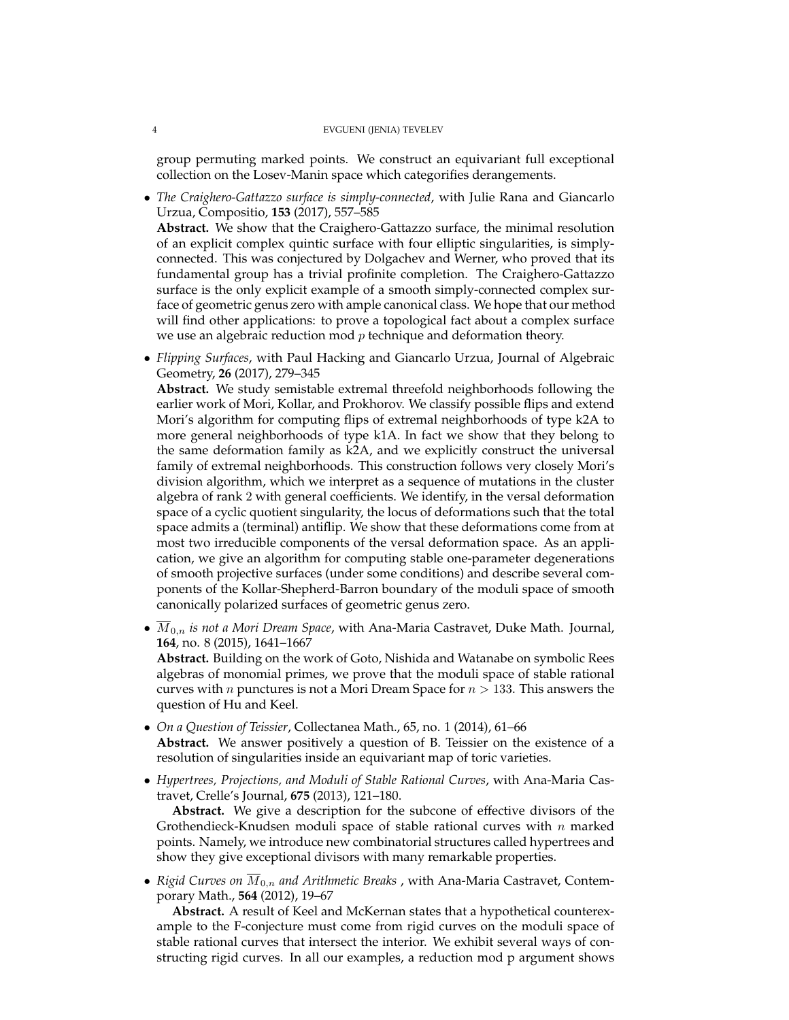group permuting marked points. We construct an equivariant full exceptional collection on the Losev-Manin space which categorifies derangements.

- *The Craighero-Gattazzo surface is simply-connected*, with Julie Rana and Giancarlo Urzua, Compositio, **153** (2017), 557–585 **Abstract.** We show that the Craighero-Gattazzo surface, the minimal resolution of an explicit complex quintic surface with four elliptic singularities, is simplyconnected. This was conjectured by Dolgachev and Werner, who proved that its fundamental group has a trivial profinite completion. The Craighero-Gattazzo surface is the only explicit example of a smooth simply-connected complex surface of geometric genus zero with ample canonical class. We hope that our method will find other applications: to prove a topological fact about a complex surface
- *Flipping Surfaces*, with Paul Hacking and Giancarlo Urzua, Journal of Algebraic Geometry, **26** (2017), 279–345

we use an algebraic reduction mod  $p$  technique and deformation theory.

**Abstract.** We study semistable extremal threefold neighborhoods following the earlier work of Mori, Kollar, and Prokhorov. We classify possible flips and extend Mori's algorithm for computing flips of extremal neighborhoods of type k2A to more general neighborhoods of type k1A. In fact we show that they belong to the same deformation family as k2A, and we explicitly construct the universal family of extremal neighborhoods. This construction follows very closely Mori's division algorithm, which we interpret as a sequence of mutations in the cluster algebra of rank 2 with general coefficients. We identify, in the versal deformation space of a cyclic quotient singularity, the locus of deformations such that the total space admits a (terminal) antiflip. We show that these deformations come from at most two irreducible components of the versal deformation space. As an application, we give an algorithm for computing stable one-parameter degenerations of smooth projective surfaces (under some conditions) and describe several components of the Kollar-Shepherd-Barron boundary of the moduli space of smooth canonically polarized surfaces of geometric genus zero.

• M0,n *is not a Mori Dream Space*, with Ana-Maria Castravet, Duke Math. Journal, **164**, no. 8 (2015), 1641–1667

**Abstract.** Building on the work of Goto, Nishida and Watanabe on symbolic Rees algebras of monomial primes, we prove that the moduli space of stable rational curves with *n* punctures is not a Mori Dream Space for  $n > 133$ . This answers the question of Hu and Keel.

- *On a Question of Teissier*, Collectanea Math., 65, no. 1 (2014), 61–66 **Abstract.** We answer positively a question of B. Teissier on the existence of a resolution of singularities inside an equivariant map of toric varieties.
- *Hypertrees, Projections, and Moduli of Stable Rational Curves*, with Ana-Maria Castravet, Crelle's Journal, **675** (2013), 121–180.

**Abstract.** We give a description for the subcone of effective divisors of the Grothendieck-Knudsen moduli space of stable rational curves with  $n$  marked points. Namely, we introduce new combinatorial structures called hypertrees and show they give exceptional divisors with many remarkable properties.

• *Rigid Curves on*  $\overline{M}_{0,n}$  *and Arithmetic Breaks*, with Ana-Maria Castravet, Contemporary Math., **564** (2012), 19–67

**Abstract.** A result of Keel and McKernan states that a hypothetical counterexample to the F-conjecture must come from rigid curves on the moduli space of stable rational curves that intersect the interior. We exhibit several ways of constructing rigid curves. In all our examples, a reduction mod p argument shows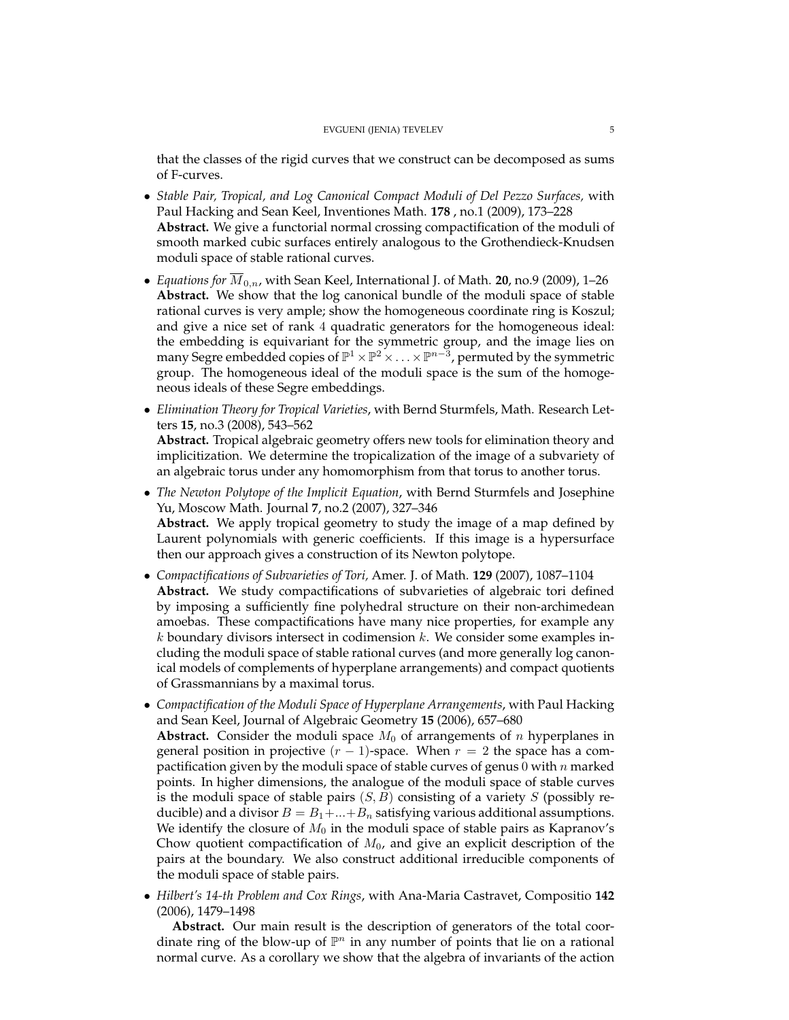that the classes of the rigid curves that we construct can be decomposed as sums of F-curves.

- *Stable Pair, Tropical, and Log Canonical Compact Moduli of Del Pezzo Surfaces,* with Paul Hacking and Sean Keel, Inventiones Math. **178** , no.1 (2009), 173–228 **Abstract.** We give a functorial normal crossing compactification of the moduli of smooth marked cubic surfaces entirely analogous to the Grothendieck-Knudsen moduli space of stable rational curves.
- *Equations for* M0,n, with Sean Keel, International J. of Math. **20**, no.9 (2009), 1–26 **Abstract.** We show that the log canonical bundle of the moduli space of stable rational curves is very ample; show the homogeneous coordinate ring is Koszul; and give a nice set of rank 4 quadratic generators for the homogeneous ideal: the embedding is equivariant for the symmetric group, and the image lies on many Segre embedded copies of  $\mathbb{P}^1\times\mathbb{P}^2\times\ldots\times\mathbb{P}^{n-3}$ , permuted by the symmetric group. The homogeneous ideal of the moduli space is the sum of the homogeneous ideals of these Segre embeddings.
- *Elimination Theory for Tropical Varieties*, with Bernd Sturmfels, Math. Research Letters **15**, no.3 (2008), 543–562 **Abstract.** Tropical algebraic geometry offers new tools for elimination theory and implicitization. We determine the tropicalization of the image of a subvariety of an algebraic torus under any homomorphism from that torus to another torus.
- *The Newton Polytope of the Implicit Equation*, with Bernd Sturmfels and Josephine Yu, Moscow Math. Journal **7**, no.2 (2007), 327–346 **Abstract.** We apply tropical geometry to study the image of a map defined by Laurent polynomials with generic coefficients. If this image is a hypersurface then our approach gives a construction of its Newton polytope.
- *Compactifications of Subvarieties of Tori,* Amer. J. of Math. **129** (2007), 1087–1104 **Abstract.** We study compactifications of subvarieties of algebraic tori defined by imposing a sufficiently fine polyhedral structure on their non-archimedean amoebas. These compactifications have many nice properties, for example any  $k$  boundary divisors intersect in codimension  $k$ . We consider some examples including the moduli space of stable rational curves (and more generally log canonical models of complements of hyperplane arrangements) and compact quotients of Grassmannians by a maximal torus.
- *Compactification of the Moduli Space of Hyperplane Arrangements*, with Paul Hacking and Sean Keel, Journal of Algebraic Geometry **15** (2006), 657–680 **Abstract.** Consider the moduli space  $M_0$  of arrangements of n hyperplanes in general position in projective  $(r - 1)$ -space. When  $r = 2$  the space has a compactification given by the moduli space of stable curves of genus 0 with  $n$  marked points. In higher dimensions, the analogue of the moduli space of stable curves is the moduli space of stable pairs  $(S, B)$  consisting of a variety S (possibly reducible) and a divisor  $B = B_1 + ... + B_n$  satisfying various additional assumptions. We identify the closure of  $M_0$  in the moduli space of stable pairs as Kapranov's Chow quotient compactification of  $M_0$ , and give an explicit description of the pairs at the boundary. We also construct additional irreducible components of the moduli space of stable pairs.
- *Hilbert's 14-th Problem and Cox Rings*, with Ana-Maria Castravet, Compositio **142** (2006), 1479–1498

**Abstract.** Our main result is the description of generators of the total coordinate ring of the blow-up of  $\mathbb{P}^n$  in any number of points that lie on a rational normal curve. As a corollary we show that the algebra of invariants of the action